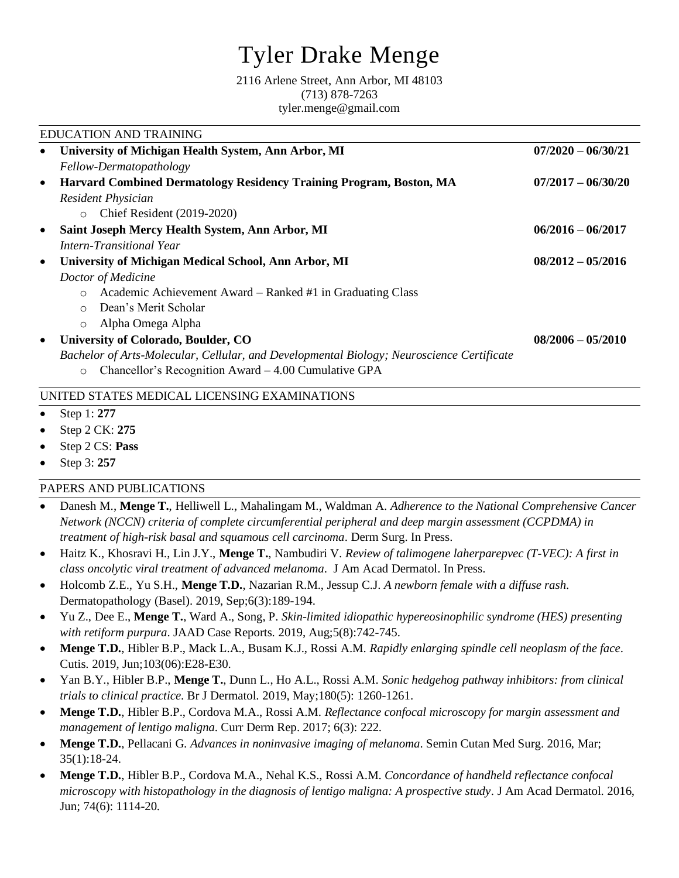# Tyler Drake Menge

2116 Arlene Street, Ann Arbor, MI 48103 (713) 878-7263 tyler.menge@gmail.com

|           | <b>EDUCATION AND TRAINING</b>                                                                               |                      |
|-----------|-------------------------------------------------------------------------------------------------------------|----------------------|
| $\bullet$ | University of Michigan Health System, Ann Arbor, MI                                                         | $07/2020 - 06/30/21$ |
|           | Fellow-Dermatopathology                                                                                     |                      |
| $\bullet$ | Harvard Combined Dermatology Residency Training Program, Boston, MA                                         | $07/2017 - 06/30/20$ |
|           | <b>Resident Physician</b>                                                                                   |                      |
|           | <b>Chief Resident (2019-2020)</b><br>$\circ$                                                                |                      |
| $\bullet$ | Saint Joseph Mercy Health System, Ann Arbor, MI                                                             | $06/2016 - 06/2017$  |
|           | <b>Intern-Transitional Year</b>                                                                             |                      |
| $\bullet$ | University of Michigan Medical School, Ann Arbor, MI                                                        | $08/2012 - 05/2016$  |
|           | Doctor of Medicine                                                                                          |                      |
|           | Academic Achievement Award – Ranked #1 in Graduating Class<br>$\Omega$                                      |                      |
|           | Dean's Merit Scholar<br>$\bigcirc$                                                                          |                      |
|           | Alpha Omega Alpha<br>$\circ$                                                                                |                      |
| $\bullet$ | University of Colorado, Boulder, CO                                                                         | $08/2006 - 05/2010$  |
|           | Bachelor of Arts-Molecular, Cellular, and Developmental Biology; Neuroscience Certificate                   |                      |
|           | Chancellor's Recognition Award - 4.00 Cumulative GPA<br>$\circ$                                             |                      |
|           | UNITED STATES MEDICAL LICENSING EXAMINATIONS                                                                |                      |
| $\bullet$ | Step 1: 277                                                                                                 |                      |
| $\bullet$ | Step 2 CK: 275                                                                                              |                      |
| $\bullet$ | Step 2 CS: Pass                                                                                             |                      |
| $\bullet$ | Step 3: 257                                                                                                 |                      |
|           | PAPERS AND PUBLICATIONS                                                                                     |                      |
|           | Danesh M., Menge T., Helliwell L., Mahalingam M., Waldman A. Adherence to the National Comprehensive Cancer |                      |

- *Network (NCCN) criteria of complete circumferential peripheral and deep margin assessment (CCPDMA) in treatment of high-risk basal and squamous cell carcinoma*. Derm Surg. In Press. • Haitz K., Khosravi H., Lin J.Y., **Menge T.**, Nambudiri V. *Review of talimogene laherparepvec (T-VEC): A first in*
- *class oncolytic viral treatment of advanced melanoma*. J Am Acad Dermatol. In Press. • Holcomb Z.E., Yu S.H., **Menge T.D.**, Nazarian R.M., Jessup C.J. *A newborn female with a diffuse rash*.
- Dermatopathology (Basel). 2019, Sep;6(3):189-194.
- Yu Z., Dee E., **Menge T.**, Ward A., Song, P. *Skin-limited idiopathic hypereosinophilic syndrome (HES) presenting with retiform purpura*. JAAD Case Reports. 2019, Aug;5(8):742-745.
- **Menge T.D.**, Hibler B.P., Mack L.A., Busam K.J., Rossi A.M. *Rapidly enlarging spindle cell neoplasm of the face*. Cutis. 2019, Jun;103(06):E28-E30.
- Yan B.Y., Hibler B.P., **Menge T.**, Dunn L., Ho A.L., Rossi A.M. *Sonic hedgehog pathway inhibitors: from clinical trials to clinical practice*. Br J Dermatol. 2019, May;180(5): 1260-1261.
- **Menge T.D.**, Hibler B.P., Cordova M.A., Rossi A.M. *Reflectance confocal microscopy for margin assessment and management of lentigo maligna*. Curr Derm Rep. 2017; 6(3): 222.
- **Menge T.D.**, Pellacani G. *Advances in noninvasive imaging of melanoma*. Semin Cutan Med Surg. 2016, Mar; 35(1):18-24.
- **Menge T.D.**, Hibler B.P., Cordova M.A., Nehal K.S., Rossi A.M. *Concordance of handheld reflectance confocal microscopy with histopathology in the diagnosis of lentigo maligna: A prospective study*. J Am Acad Dermatol. 2016, Jun; 74(6): 1114-20.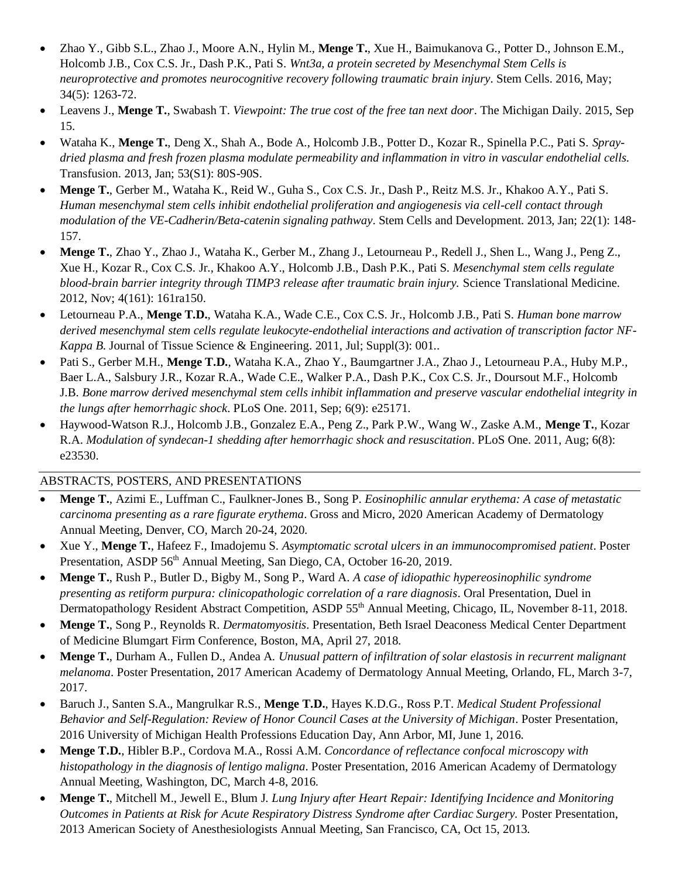- Zhao Y., Gibb S.L., Zhao J., Moore A.N., Hylin M., **Menge T.**, Xue H., Baimukanova G., Potter D., Johnson E.M., Holcomb J.B., Cox C.S. Jr., Dash P.K., Pati S. *Wnt3a, a protein secreted by Mesenchymal Stem Cells is neuroprotective and promotes neurocognitive recovery following traumatic brain injury*. Stem Cells. 2016, May; 34(5): 1263-72.
- Leavens J., **Menge T.**, Swabash T. *Viewpoint: The true cost of the free tan next door*. The Michigan Daily. 2015, Sep 15.
- Wataha K., **Menge T.**, Deng X., Shah A., Bode A., Holcomb J.B., Potter D., Kozar R., Spinella P.C., Pati S. *Spraydried plasma and fresh frozen plasma modulate permeability and inflammation in vitro in vascular endothelial cells.* Transfusion. 2013, Jan; 53(S1): 80S-90S.
- **Menge T.**, Gerber M., Wataha K., Reid W., Guha S., Cox C.S. Jr., Dash P., Reitz M.S. Jr., Khakoo A.Y., Pati S. *Human mesenchymal stem cells inhibit endothelial proliferation and angiogenesis via cell-cell contact through modulation of the VE-Cadherin/Beta-catenin signaling pathway*. Stem Cells and Development. 2013, Jan; 22(1): 148- 157.
- **Menge T.**, Zhao Y., Zhao J., Wataha K., Gerber M., Zhang J., Letourneau P., Redell J., Shen L., Wang J., Peng Z., Xue H., Kozar R., Cox C.S. Jr., Khakoo A.Y., Holcomb J.B., Dash P.K., Pati S. *Mesenchymal stem cells regulate blood-brain barrier integrity through TIMP3 release after traumatic brain injury.* Science Translational Medicine. 2012, Nov; 4(161): 161ra150.
- Letourneau P.A., **Menge T.D.**, Wataha K.A., Wade C.E., Cox C.S. Jr., Holcomb J.B., Pati S. *Human bone marrow derived mesenchymal stem cells regulate leukocyte-endothelial interactions and activation of transcription factor NF-Kappa B*. Journal of Tissue Science & Engineering. 2011, Jul; Suppl(3): 001..
- Pati S., Gerber M.H., **Menge T.D.**, Wataha K.A., Zhao Y., Baumgartner J.A., Zhao J., Letourneau P.A., Huby M.P., Baer L.A., Salsbury J.R., Kozar R.A., Wade C.E., Walker P.A., Dash P.K., Cox C.S. Jr., Doursout M.F., Holcomb J.B. *Bone marrow derived mesenchymal stem cells inhibit inflammation and preserve vascular endothelial integrity in the lungs after hemorrhagic shock*. PLoS One. 2011, Sep; 6(9): e25171.
- Haywood-Watson R.J., Holcomb J.B., Gonzalez E.A., Peng Z., Park P.W., Wang W., Zaske A.M., **Menge T.**, Kozar R.A. *Modulation of syndecan-1 shedding after hemorrhagic shock and resuscitation*. PLoS One. 2011, Aug; 6(8): e23530.

### ABSTRACTS, POSTERS, AND PRESENTATIONS

- **Menge T.**, Azimi E., Luffman C., Faulkner-Jones B., Song P. *Eosinophilic annular erythema: A case of metastatic carcinoma presenting as a rare figurate erythema*. Gross and Micro, 2020 American Academy of Dermatology Annual Meeting, Denver, CO, March 20-24, 2020.
- Xue Y., **Menge T.**, Hafeez F., Imadojemu S. *Asymptomatic scrotal ulcers in an immunocompromised patient*. Poster Presentation, ASDP 56<sup>th</sup> Annual Meeting, San Diego, CA, October 16-20, 2019.
- **Menge T.**, Rush P., Butler D., Bigby M., Song P., Ward A. *A case of idiopathic hypereosinophilic syndrome presenting as retiform purpura: clinicopathologic correlation of a rare diagnosis*. Oral Presentation, Duel in Dermatopathology Resident Abstract Competition, ASDP 55<sup>th</sup> Annual Meeting, Chicago, IL, November 8-11, 2018.
- **Menge T.**, Song P., Reynolds R. *Dermatomyositis*. Presentation, Beth Israel Deaconess Medical Center Department of Medicine Blumgart Firm Conference, Boston, MA, April 27, 2018.
- **Menge T.**, Durham A., Fullen D., Andea A. *Unusual pattern of infiltration of solar elastosis in recurrent malignant melanoma*. Poster Presentation, 2017 American Academy of Dermatology Annual Meeting, Orlando, FL, March 3-7, 2017.
- Baruch J., Santen S.A., Mangrulkar R.S., **Menge T.D.**, Hayes K.D.G., Ross P.T. *Medical Student Professional Behavior and Self-Regulation: Review of Honor Council Cases at the University of Michigan*. Poster Presentation, 2016 University of Michigan Health Professions Education Day, Ann Arbor, MI, June 1, 2016.
- **Menge T.D.**, Hibler B.P., Cordova M.A., Rossi A.M. *Concordance of reflectance confocal microscopy with histopathology in the diagnosis of lentigo maligna*. Poster Presentation, 2016 American Academy of Dermatology Annual Meeting, Washington, DC, March 4-8, 2016.
- **Menge T.**, Mitchell M., Jewell E., Blum J. *Lung Injury after Heart Repair: Identifying Incidence and Monitoring Outcomes in Patients at Risk for Acute Respiratory Distress Syndrome after Cardiac Surgery.* Poster Presentation, 2013 American Society of Anesthesiologists Annual Meeting, San Francisco, CA, Oct 15, 2013.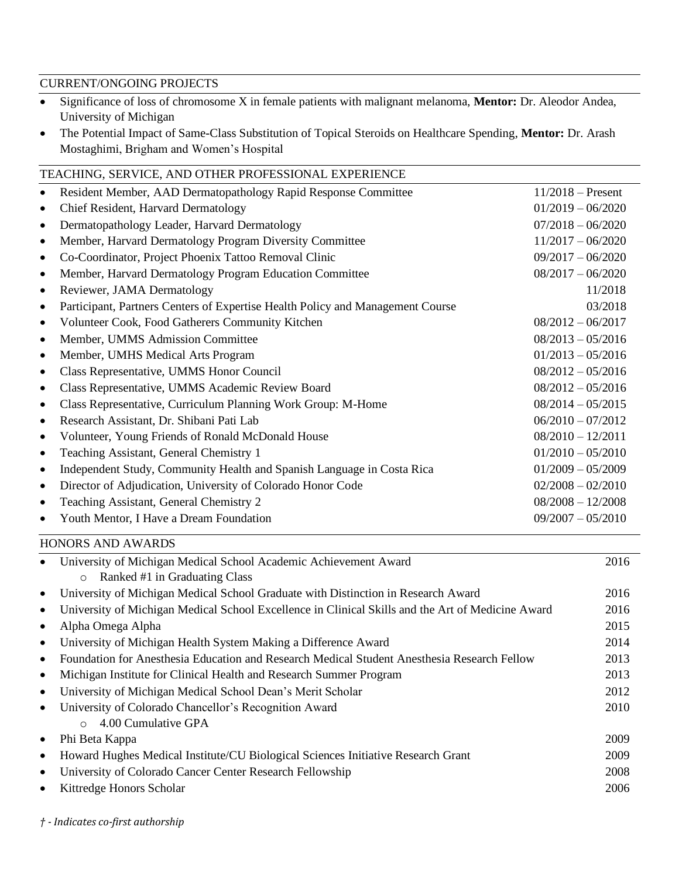#### CURRENT/ONGOING PROJECTS

- Significance of loss of chromosome X in female patients with malignant melanoma, **Mentor:** Dr. Aleodor Andea, University of Michigan
- The Potential Impact of Same-Class Substitution of Topical Steroids on Healthcare Spending, **Mentor:** Dr. Arash Mostaghimi, Brigham and Women's Hospital

| TEACHING, SERVICE, AND OTHER PROFESSIONAL EXPERIENCE                                        |                     |  |  |
|---------------------------------------------------------------------------------------------|---------------------|--|--|
| Resident Member, AAD Dermatopathology Rapid Response Committee<br>$\bullet$                 | $11/2018$ – Present |  |  |
| Chief Resident, Harvard Dermatology<br>$\bullet$                                            | $01/2019 - 06/2020$ |  |  |
| Dermatopathology Leader, Harvard Dermatology<br>$\bullet$                                   | $07/2018 - 06/2020$ |  |  |
| Member, Harvard Dermatology Program Diversity Committee<br>$\bullet$                        | $11/2017 - 06/2020$ |  |  |
| Co-Coordinator, Project Phoenix Tattoo Removal Clinic<br>$\bullet$                          | $09/2017 - 06/2020$ |  |  |
| Member, Harvard Dermatology Program Education Committee<br>$\bullet$                        | $08/2017 - 06/2020$ |  |  |
| Reviewer, JAMA Dermatology<br>$\bullet$                                                     | 11/2018             |  |  |
| Participant, Partners Centers of Expertise Health Policy and Management Course<br>$\bullet$ | 03/2018             |  |  |
| Volunteer Cook, Food Gatherers Community Kitchen<br>$\bullet$                               | $08/2012 - 06/2017$ |  |  |
| Member, UMMS Admission Committee<br>$\bullet$                                               | $08/2013 - 05/2016$ |  |  |
| Member, UMHS Medical Arts Program<br>$\bullet$                                              | $01/2013 - 05/2016$ |  |  |
| Class Representative, UMMS Honor Council<br>$\bullet$                                       | $08/2012 - 05/2016$ |  |  |
| Class Representative, UMMS Academic Review Board<br>$\bullet$                               | $08/2012 - 05/2016$ |  |  |
| Class Representative, Curriculum Planning Work Group: M-Home<br>$\bullet$                   | $08/2014 - 05/2015$ |  |  |
| Research Assistant, Dr. Shibani Pati Lab<br>٠                                               | $06/2010 - 07/2012$ |  |  |
| Volunteer, Young Friends of Ronald McDonald House<br>$\bullet$                              | $08/2010 - 12/2011$ |  |  |
| Teaching Assistant, General Chemistry 1<br>$\bullet$                                        | $01/2010 - 05/2010$ |  |  |
| Independent Study, Community Health and Spanish Language in Costa Rica<br>$\bullet$         | $01/2009 - 05/2009$ |  |  |
| Director of Adjudication, University of Colorado Honor Code<br>$\bullet$                    | $02/2008 - 02/2010$ |  |  |
| Teaching Assistant, General Chemistry 2<br>$\bullet$                                        | $08/2008 - 12/2008$ |  |  |
| Youth Mentor, I Have a Dream Foundation                                                     | $09/2007 - 05/2010$ |  |  |
|                                                                                             |                     |  |  |

#### HONORS AND AWARDS

| $\bullet$ | University of Michigan Medical School Academic Achievement Award                                  | 2016 |
|-----------|---------------------------------------------------------------------------------------------------|------|
|           | Ranked #1 in Graduating Class<br>$\circ$                                                          |      |
| $\bullet$ | University of Michigan Medical School Graduate with Distinction in Research Award                 | 2016 |
| $\bullet$ | University of Michigan Medical School Excellence in Clinical Skills and the Art of Medicine Award | 2016 |
| $\bullet$ | Alpha Omega Alpha                                                                                 | 2015 |
| $\bullet$ | University of Michigan Health System Making a Difference Award                                    | 2014 |
| $\bullet$ | Foundation for Anesthesia Education and Research Medical Student Anesthesia Research Fellow       | 2013 |
| $\bullet$ | Michigan Institute for Clinical Health and Research Summer Program                                | 2013 |
| $\bullet$ | University of Michigan Medical School Dean's Merit Scholar                                        | 2012 |
| $\bullet$ | University of Colorado Chancellor's Recognition Award                                             | 2010 |
|           | 4.00 Cumulative GPA<br>$\circ$                                                                    |      |
| $\bullet$ | Phi Beta Kappa                                                                                    | 2009 |
| $\bullet$ | Howard Hughes Medical Institute/CU Biological Sciences Initiative Research Grant                  | 2009 |
| $\bullet$ | University of Colorado Cancer Center Research Fellowship                                          | 2008 |
| $\bullet$ | Kittredge Honors Scholar                                                                          | 2006 |